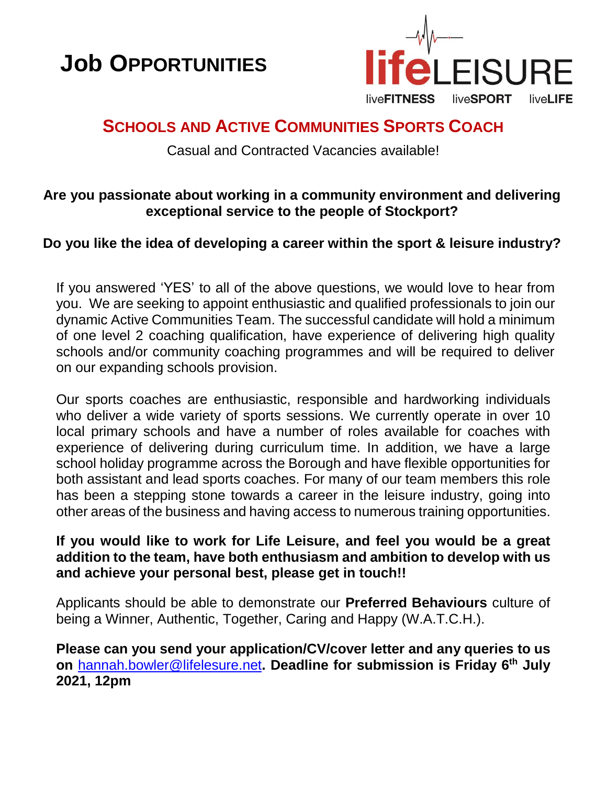



# **SCHOOLS AND ACTIVE COMMUNITIES SPORTS COACH**

Casual and Contracted Vacancies available!

# **Are you passionate about working in a community environment and delivering exceptional service to the people of Stockport?**

# **Do you like the idea of developing a career within the sport & leisure industry?**

If you answered 'YES' to all of the above questions, we would love to hear from you. We are seeking to appoint enthusiastic and qualified professionals to join our dynamic Active Communities Team. The successful candidate will hold a minimum of one level 2 coaching qualification, have experience of delivering high quality schools and/or community coaching programmes and will be required to deliver on our expanding schools provision.

Our sports coaches are enthusiastic, responsible and hardworking individuals who deliver a wide variety of sports sessions. We currently operate in over 10 local primary schools and have a number of roles available for coaches with experience of delivering during curriculum time. In addition, we have a large school holiday programme across the Borough and have flexible opportunities for both assistant and lead sports coaches. For many of our team members this role has been a stepping stone towards a career in the leisure industry, going into other areas of the business and having access to numerous training opportunities.

### **If you would like to work for Life Leisure, and feel you would be a great addition to the team, have both enthusiasm and ambition to develop with us and achieve your personal best, please get in touch!!**

Applicants should be able to demonstrate our **Preferred Behaviours** culture of being a Winner, Authentic, Together, Caring and Happy (W.A.T.C.H.).

**Please can you send your application/CV/cover letter and any queries to us on** [hannah.bowler@lifelesure.net](mailto:hannah.bowler@lifelesure.net)**. Deadline for submission is Friday 6 th July 2021, 12pm**